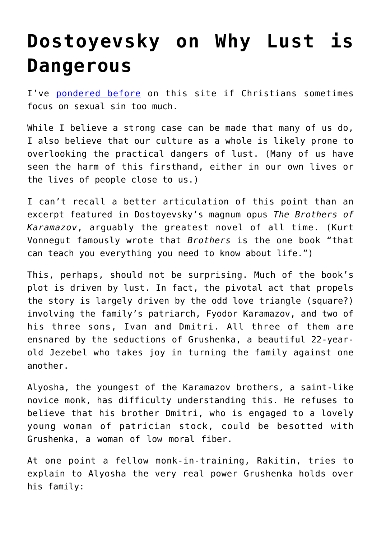## **[Dostoyevsky on Why Lust is](https://intellectualtakeout.org/2017/05/dostoyevsky-on-why-lust-is-dangerous/) [Dangerous](https://intellectualtakeout.org/2017/05/dostoyevsky-on-why-lust-is-dangerous/)**

I've [pondered before](https://www.intellectualtakeout.org/blog/do-christians-focus-sexual-sin-too-much) on this site if Christians sometimes focus on sexual sin too much.

While I believe a strong case can be made that many of us do, I also believe that our culture as a whole is likely prone to overlooking the practical dangers of lust. (Many of us have seen the harm of this firsthand, either in our own lives or the lives of people close to us.)

I can't recall a better articulation of this point than an excerpt featured in Dostoyevsky's magnum opus *The Brothers of Karamazov*, arguably the greatest novel of all time. (Kurt Vonnegut famously wrote that *Brothers* is the one book "that can teach you everything you need to know about life.")

This, perhaps, should not be surprising. Much of the book's plot is driven by lust. In fact, the pivotal act that propels the story is largely driven by the odd love triangle (square?) involving the family's patriarch, Fyodor Karamazov, and two of his three sons, Ivan and Dmitri. All three of them are ensnared by the seductions of Grushenka, a beautiful 22-yearold Jezebel who takes joy in turning the family against one another.

Alyosha, the youngest of the Karamazov brothers, a saint-like novice monk, has difficulty understanding this. He refuses to believe that his brother Dmitri, who is engaged to a lovely young woman of patrician stock, could be besotted with Grushenka, a woman of low moral fiber.

At one point a fellow monk-in-training, Rakitin, tries to explain to Alyosha the very real power Grushenka holds over his family: